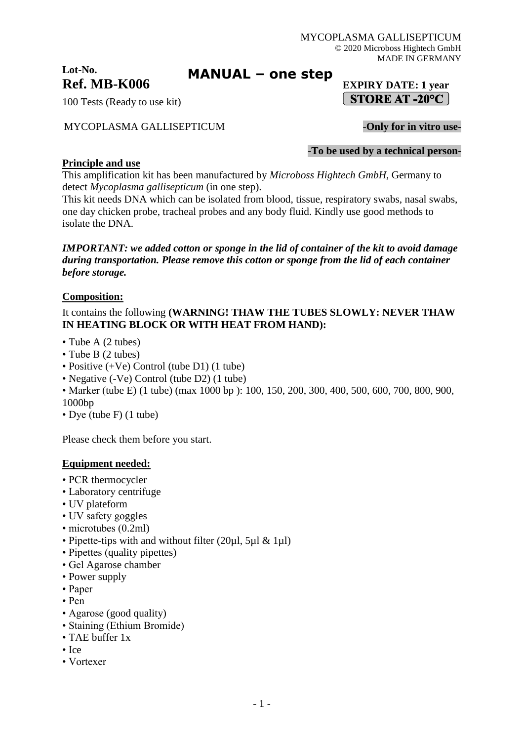## **Lot-No. Ref. MB-K006 EXPIRY DATE: 1 year**

100 Tests (Ready to use kit)

## MYCOPLASMA GALLISEPTICUM -**Only for in vitro use-**

-**To be used by a technical person-**

## **Principle and use**

This amplification kit has been manufactured by *Microboss Hightech GmbH*, Germany to detect *Mycoplasma gallisepticum* (in one step).

This kit needs DNA which can be isolated from blood, tissue, respiratory swabs, nasal swabs, one day chicken probe, tracheal probes and any body fluid. Kindly use good methods to isolate the DNA.

**MANUAL – one step**

*IMPORTANT: we added cotton or sponge in the lid of container of the kit to avoid damage during transportation. Please remove this cotton or sponge from the lid of each container before storage.*

## **Composition:**

It contains the following **(WARNING! THAW THE TUBES SLOWLY: NEVER THAW IN HEATING BLOCK OR WITH HEAT FROM HAND):**

- Tube A (2 tubes)
- Tube B (2 tubes)
- Positive (+Ve) Control (tube D1) (1 tube)
- Negative (-Ve) Control (tube D2) (1 tube)
- Marker (tube E) (1 tube) (max 1000 bp): 100, 150, 200, 300, 400, 500, 600, 700, 800, 900, 1000bp
- Dye (tube F) (1 tube)

Please check them before you start.

#### **Equipment needed:**

- PCR thermocycler
- Laboratory centrifuge
- UV plateform
- UV safety goggles
- microtubes (0.2ml)
- Pipette-tips with and without filter (20µl, 5µl & 1µl)
- Pipettes (quality pipettes)
- Gel Agarose chamber
- Power supply
- Paper
- Pen
- Agarose (good quality)
- Staining (Ethium Bromide)
- TAE buffer 1x
- Ice
- Vortexer

# $\vert$  STORE AT -20°C  $\vert$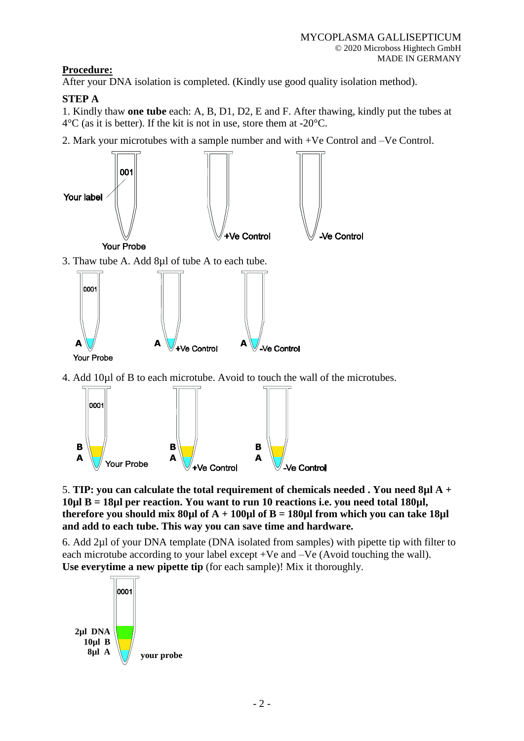# **Procedure:**

After your DNA isolation is completed. (Kindly use good quality isolation method).

# **STEP A**

1. Kindly thaw **one tube** each: A, B, D1, D2, E and F. After thawing, kindly put the tubes at  $4^{\circ}$ C (as it is better). If the kit is not in use, store them at -20 $^{\circ}$ C.

2. Mark your microtubes with a sample number and with +Ve Control and –Ve Control.



4. Add 10µl of B to each microtube. Avoid to touch the wall of the microtubes.



5. **TIP: you can calculate the total requirement of chemicals needed . You need 8µl A + 10µl B = 18µl per reaction. You want to run 10 reactions i.e. you need total 180µl, therefore you should mix 80µl of A + 100µl of B = 180µl from which you can take 18µl and add to each tube. This way you can save time and hardware.**

6. Add 2µl of your DNA template (DNA isolated from samples) with pipette tip with filter to each microtube according to your label except +Ve and –Ve (Avoid touching the wall). **Use everytime a new pipette tip** (for each sample)! Mix it thoroughly.

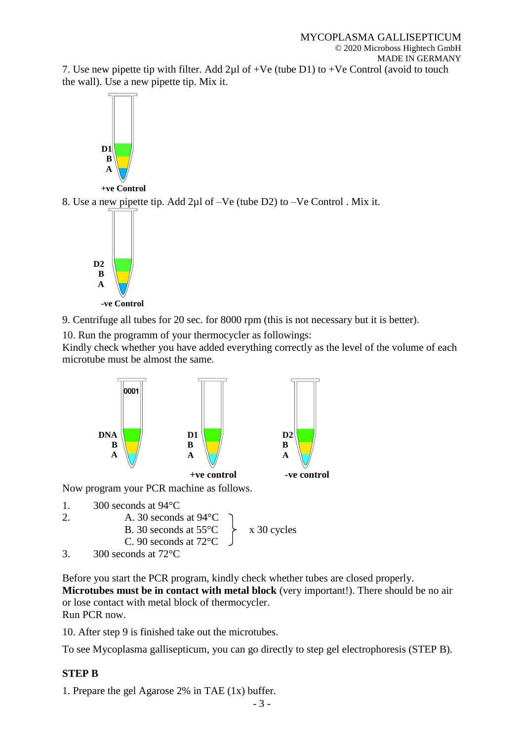7. Use new pipette tip with filter. Add  $2\mu$ l of +Ve (tube D1) to +Ve Control (avoid to touch the wall). Use a new pipette tip. Mix it.



9. Centrifuge all tubes for 20 sec. for 8000 rpm (this is not necessary but it is better).

10. Run the programm of your thermocycler as followings:

Kindly check whether you have added everything correctly as the level of the volume of each microtube must be almost the same.







Before you start the PCR program, kindly check whether tubes are closed properly.

**Microtubes must be in contact with metal block** (very important!). There should be no air or lose contact with metal block of thermocycler. Run PCR now.

10. After step 9 is finished take out the microtubes.

To see Mycoplasma gallisepticum, you can go directly to step gel electrophoresis (STEP B).

# **STEP B**

1. Prepare the gel Agarose 2% in TAE (1x) buffer.